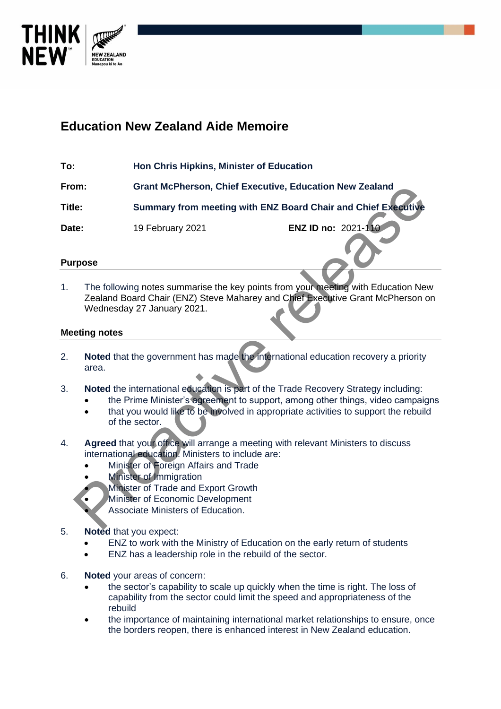

## **Education New Zealand Aide Memoire**

**To: Hon Chris Hipkins, Minister of Education**

**From: Grant McPherson, Chief Executive, Education New Zealand Title: Summary from meeting with ENZ Board Chair and Chief Executive**

**Date:** 19 February 2021 **ENZ ID no:** 2021-110

## **Purpose**

1. The following notes summarise the key points from your meeting with Education New Zealand Board Chair (ENZ) Steve Maharey and Chief Executive Grant McPherson on Wednesday 27 January 2021. For the Britisher's and the Trade Recovery Strategy including<br>
The following notes summarise the key points from your meeting with Education New<br>
The following notes summarise the key points from your meeting with Educatio

## **Meeting notes**

- 2. **Noted** that the government has made the international education recovery a priority area.
- 3. **Noted** the international education is part of the Trade Recovery Strategy including:
	- the Prime Minister's agreement to support, among other things, video campaigns
	- that you would like to be involved in appropriate activities to support the rebuild of the sector.
- 4. **Agreed** that your office will arrange a meeting with relevant Ministers to discuss international education. Ministers to include are:
	- Minister of Foreign Affairs and Trade
	- Minister of Immigration
		- Minister of Trade and Export Growth
		- Minister of Economic Development
			- Associate Ministers of Education.
- 5. **Noted** that you expect:
	- ENZ to work with the Ministry of Education on the early return of students
	- ENZ has a leadership role in the rebuild of the sector.
- 6. **Noted** your areas of concern:
	- the sector's capability to scale up quickly when the time is right. The loss of capability from the sector could limit the speed and appropriateness of the rebuild
	- the importance of maintaining international market relationships to ensure, once the borders reopen, there is enhanced interest in New Zealand education.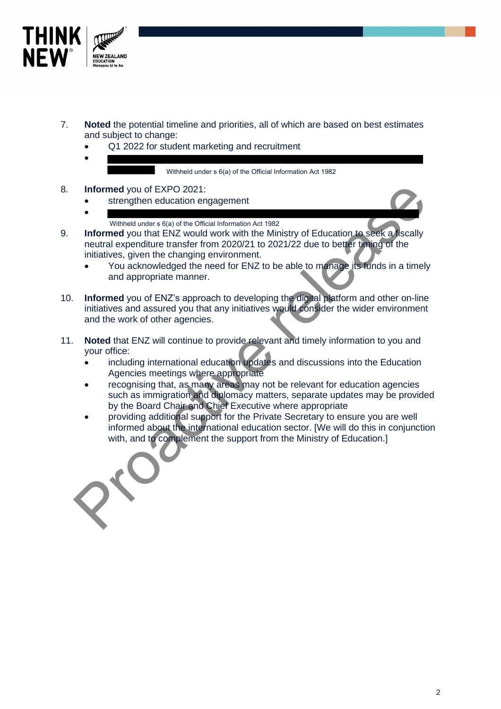

- 7. **Noted** the potential timeline and priorities, all of which are based on best estimates and subject to change:
	- Q1 2022 for student marketing and recruitment
	- •

Withheld under s 6(a) of the Official Information Act 1982

- 8. **Informed** you of EXPO 2021:
	- strengthen education engagement
	- Withheld under s 6(a) of the Official Information Act 1982
- 9. **Informed** you that ENZ would work with the Ministry of Education to seek a fiscally neutral expenditure transfer from 2020/21 to 2021/22 due to better timing of the initiatives, given the changing environment. Informed you of EXPO 2021:<br>
• Imagement<br>
• Imagement and actual of the Ministry of Education to seek a fiscally<br>
• Informed you that ENZ would work with the Ministry of Education to seek a fiscally<br>
neutral expenditure tra
	- You acknowledged the need for ENZ to be able to manage its funds in a timely and appropriate manner.
- 10. **Informed** you of ENZ's approach to developing the digital platform and other on-line initiatives and assured you that any initiatives would consider the wider environment and the work of other agencies.
- 11. **Noted** that ENZ will continue to provide relevant and timely information to you and your office:
	- including international education updates and discussions into the Education Agencies meetings where appropriate
	- recognising that, as many areas may not be relevant for education agencies such as immigration and diplomacy matters, separate updates may be provided by the Board Chair and Chief Executive where appropriate
	- providing additional support for the Private Secretary to ensure you are well informed about the international education sector. [We will do this in conjunction with, and to complement the support from the Ministry of Education.